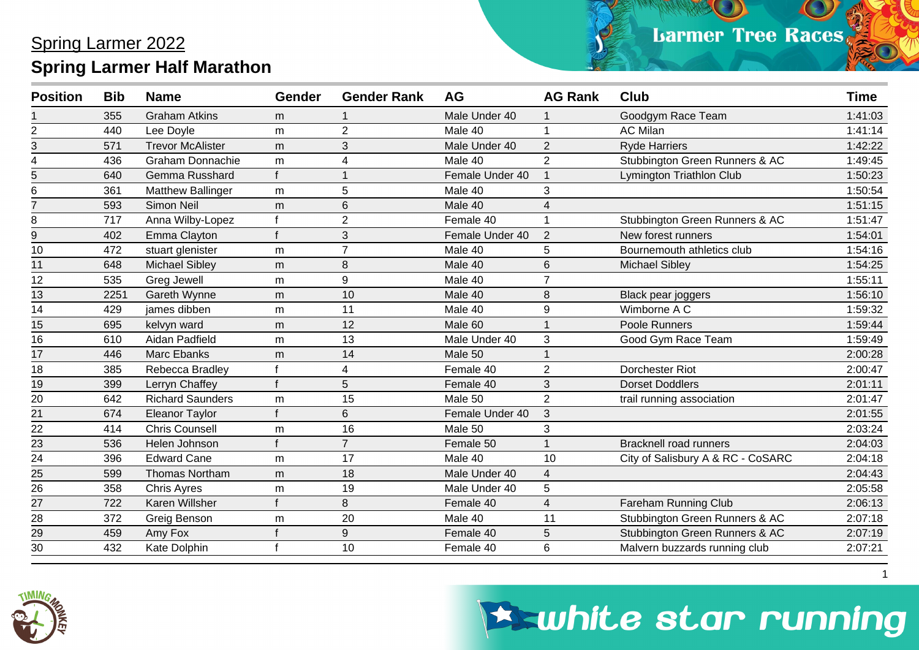| <b>Position</b> | <b>Bib</b> | <b>Name</b>              | <b>Gender</b> | <b>Gender Rank</b> | <b>AG</b>       | <b>AG Rank</b> | <b>Club</b>                       | <b>Time</b> |
|-----------------|------------|--------------------------|---------------|--------------------|-----------------|----------------|-----------------------------------|-------------|
|                 | 355        | <b>Graham Atkins</b>     | m             |                    | Male Under 40   |                | Goodgym Race Team                 | 1:41:03     |
| 2               | 440        | Lee Doyle                | m             | $\overline{2}$     | Male 40         |                | <b>AC Milan</b>                   | 1:41:14     |
| 3               | 571        | <b>Trevor McAlister</b>  | m             | 3                  | Male Under 40   | $\overline{2}$ | <b>Ryde Harriers</b>              | 1:42:22     |
| 4               | 436        | <b>Graham Donnachie</b>  | m             | 4                  | Male 40         | $\overline{2}$ | Stubbington Green Runners & AC    | 1:49:45     |
| 5               | 640        | Gemma Russhard           |               |                    | Female Under 40 |                | Lymington Triathlon Club          | 1:50:23     |
| 6               | 361        | <b>Matthew Ballinger</b> | m             | 5                  | Male 40         | 3              |                                   | 1:50:54     |
| $\overline{7}$  | 593        | Simon Neil               | m             | 6                  | Male 40         | 4              |                                   | 1:51:15     |
| 8               | 717        | Anna Wilby-Lopez         |               | $\overline{2}$     | Female 40       |                | Stubbington Green Runners & AC    | 1:51:47     |
| 9               | 402        | Emma Clayton             |               | 3                  | Female Under 40 | 2              | New forest runners                | 1:54:01     |
| 10              | 472        | stuart glenister         | m             | $\overline{7}$     | Male 40         | 5              | Bournemouth athletics club        | 1:54:16     |
| 11              | 648        | <b>Michael Sibley</b>    | m             | 8                  | Male 40         | 6              | <b>Michael Sibley</b>             | 1:54:25     |
| 12              | 535        | <b>Greg Jewell</b>       | m             | 9                  | Male 40         | $\overline{7}$ |                                   | 1:55:11     |
| 13              | 2251       | Gareth Wynne             | m             | 10                 | Male 40         | 8              | Black pear joggers                | 1:56:10     |
| 14              | 429        | james dibben             | m             | 11                 | Male 40         | 9              | Wimborne A C                      | 1:59:32     |
| 15              | 695        | kelvyn ward              | m             | 12                 | Male 60         |                | Poole Runners                     | 1:59:44     |
| 16              | 610        | Aidan Padfield           | m             | 13                 | Male Under 40   | 3              | Good Gym Race Team                | 1:59:49     |
| 17              | 446        | <b>Marc Ebanks</b>       | m             | 14                 | Male 50         |                |                                   | 2:00:28     |
| 18              | 385        | Rebecca Bradley          |               | 4                  | Female 40       | $\overline{2}$ | Dorchester Riot                   | 2:00:47     |
| 19              | 399        | Lerryn Chaffey           |               | 5                  | Female 40       | 3              | <b>Dorset Doddlers</b>            | 2:01:11     |
| 20              | 642        | <b>Richard Saunders</b>  | m             | 15                 | Male 50         | 2              | trail running association         | 2:01:47     |
| 21              | 674        | <b>Eleanor Taylor</b>    |               | 6                  | Female Under 40 | 3              |                                   | 2:01:55     |
| 22              | 414        | <b>Chris Counsell</b>    | m             | 16                 | Male 50         | 3              |                                   | 2:03:24     |
| 23              | 536        | Helen Johnson            |               | $\overline{7}$     | Female 50       |                | <b>Bracknell road runners</b>     | 2:04:03     |
| 24              | 396        | <b>Edward Cane</b>       | m             | 17                 | Male 40         | 10             | City of Salisbury A & RC - CoSARC | 2:04:18     |
| 25              | 599        | <b>Thomas Northam</b>    | m             | 18                 | Male Under 40   | 4              |                                   | 2:04:43     |
| 26              | 358        | <b>Chris Ayres</b>       | m             | 19                 | Male Under 40   | 5              |                                   | 2:05:58     |
| $\overline{27}$ | 722        | Karen Willsher           |               | 8                  | Female 40       | 4              | Fareham Running Club              | 2:06:13     |
| 28              | 372        | Greig Benson             | m             | 20                 | Male 40         | 11             | Stubbington Green Runners & AC    | 2:07:18     |
| $\overline{29}$ | 459        | Amy Fox                  |               | 9                  | Female 40       | 5              | Stubbington Green Runners & AC    | 2:07:19     |
| 30              | 432        | Kate Dolphin             |               | 10                 | Female 40       | 6              | Malvern buzzards running club     | 2:07:21     |



# **Eswhite star running**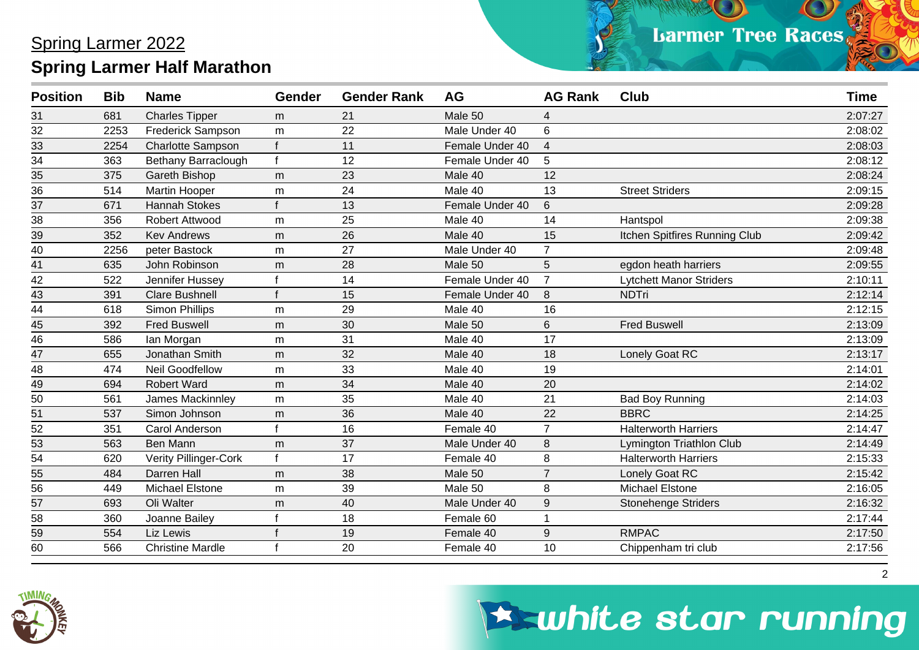| <b>Position</b> | <b>Bib</b> | <b>Name</b>                  | <b>Gender</b> | <b>Gender Rank</b> | <b>AG</b>       | <b>AG Rank</b> | <b>Club</b>                    | <b>Time</b> |
|-----------------|------------|------------------------------|---------------|--------------------|-----------------|----------------|--------------------------------|-------------|
| 31              | 681        | <b>Charles Tipper</b>        | m             | 21                 | Male 50         | 4              |                                | 2:07:27     |
| $\overline{32}$ | 2253       | <b>Frederick Sampson</b>     | m             | 22                 | Male Under 40   | 6              |                                | 2:08:02     |
| 33              | 2254       | <b>Charlotte Sampson</b>     |               | 11                 | Female Under 40 | $\overline{4}$ |                                | 2:08:03     |
| 34              | 363        | Bethany Barraclough          | $\mathbf{f}$  | 12                 | Female Under 40 | 5              |                                | 2:08:12     |
| $\overline{35}$ | 375        | Gareth Bishop                | m             | 23                 | Male 40         | 12             |                                | 2:08:24     |
| 36              | 514        | Martin Hooper                | m             | 24                 | Male 40         | 13             | <b>Street Striders</b>         | 2:09:15     |
| 37              | 671        | <b>Hannah Stokes</b>         |               | 13                 | Female Under 40 | 6              |                                | 2:09:28     |
| 38              | 356        | Robert Attwood               | m             | 25                 | Male 40         | 14             | Hantspol                       | 2:09:38     |
| 39              | 352        | <b>Kev Andrews</b>           | m             | 26                 | Male 40         | 15             | Itchen Spitfires Running Club  | 2:09:42     |
| 40              | 2256       | peter Bastock                | m             | 27                 | Male Under 40   | $\overline{7}$ |                                | 2:09:48     |
| 41              | 635        | John Robinson                | m             | 28                 | Male 50         | 5              | egdon heath harriers           | 2:09:55     |
| 42              | 522        | Jennifer Hussey              |               | 14                 | Female Under 40 | $\overline{7}$ | <b>Lytchett Manor Striders</b> | 2:10:11     |
| 43              | 391        | <b>Clare Bushnell</b>        |               | 15                 | Female Under 40 | 8              | <b>NDTri</b>                   | 2:12:14     |
| 44              | 618        | <b>Simon Phillips</b>        | m             | 29                 | Male 40         | 16             |                                | 2:12:15     |
| 45              | 392        | <b>Fred Buswell</b>          | m             | 30                 | Male 50         | 6              | <b>Fred Buswell</b>            | 2:13:09     |
| $\overline{46}$ | 586        | lan Morgan                   | m             | 31                 | Male 40         | 17             |                                | 2:13:09     |
| 47              | 655        | Jonathan Smith               | m             | 32                 | Male 40         | 18             | Lonely Goat RC                 | 2:13:17     |
| 48              | 474        | <b>Neil Goodfellow</b>       | m             | 33                 | Male 40         | 19             |                                | 2:14:01     |
| 49              | 694        | <b>Robert Ward</b>           | m             | 34                 | Male 40         | 20             |                                | 2:14:02     |
| 50              | 561        | James Mackinnley             | m             | 35                 | Male 40         | 21             | <b>Bad Boy Running</b>         | 2:14:03     |
| 51              | 537        | Simon Johnson                | m             | 36                 | Male 40         | 22             | <b>BBRC</b>                    | 2:14:25     |
| 52              | 351        | Carol Anderson               |               | 16                 | Female 40       | 7              | <b>Halterworth Harriers</b>    | 2:14:47     |
| $\overline{53}$ | 563        | Ben Mann                     | m             | 37                 | Male Under 40   | 8              | Lymington Triathlon Club       | 2:14:49     |
| $\overline{54}$ | 620        | <b>Verity Pillinger-Cork</b> |               | 17                 | Female 40       | 8              | <b>Halterworth Harriers</b>    | 2:15:33     |
| 55              | 484        | Darren Hall                  | m             | 38                 | Male 50         |                | Lonely Goat RC                 | 2:15:42     |
| $\overline{56}$ | 449        | <b>Michael Elstone</b>       | m             | 39                 | Male 50         | 8              | <b>Michael Elstone</b>         | 2:16:05     |
| 57              | 693        | Oli Walter                   | m             | 40                 | Male Under 40   | 9              | <b>Stonehenge Striders</b>     | 2:16:32     |
| 58              | 360        | Joanne Bailey                |               | 18                 | Female 60       |                |                                | 2:17:44     |
| 59              | 554        | Liz Lewis                    |               | 19                 | Female 40       | 9              | <b>RMPAC</b>                   | 2:17:50     |
| $\overline{60}$ | 566        | <b>Christine Mardle</b>      |               | 20                 | Female 40       | 10             | Chippenham tri club            | 2:17:56     |



### **Eswhite star running**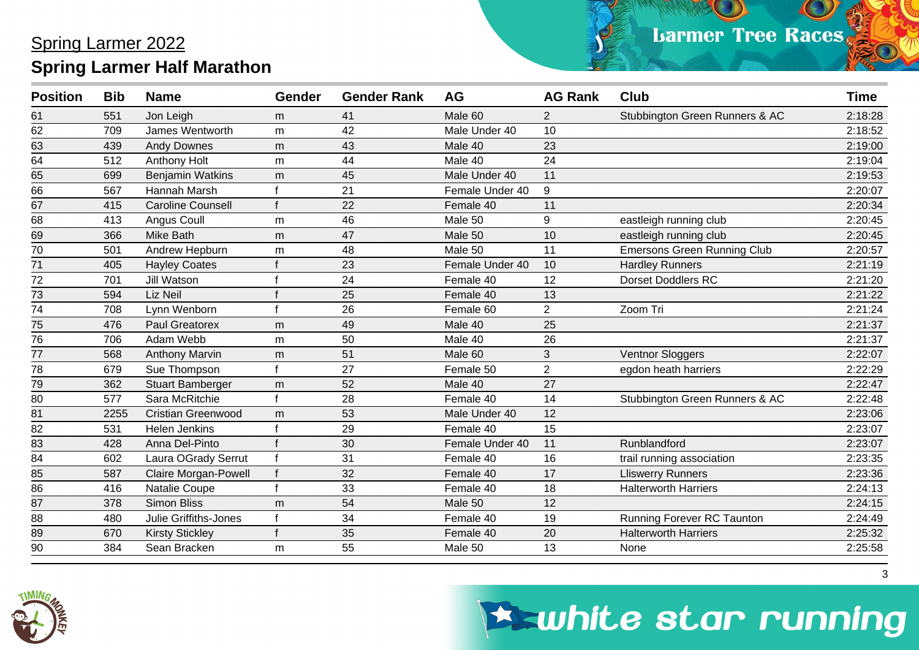| <b>Position</b> | <b>Bib</b> | <b>Name</b>                 | <b>Gender</b> | <b>Gender Rank</b> | <b>AG</b>       | <b>AG Rank</b> | <b>Club</b>                        | <b>Time</b> |
|-----------------|------------|-----------------------------|---------------|--------------------|-----------------|----------------|------------------------------------|-------------|
| 61              | 551        | Jon Leigh                   | m             | 41                 | Male 60         | $\overline{2}$ | Stubbington Green Runners & AC     | 2:18:28     |
| 62              | 709        | James Wentworth             | m             | 42                 | Male Under 40   | 10             |                                    | 2:18:52     |
| 63              | 439        | <b>Andy Downes</b>          | m             | 43                 | Male 40         | 23             |                                    | 2:19:00     |
| $\overline{64}$ | 512        | Anthony Holt                | m             | 44                 | Male 40         | 24             |                                    | 2:19:04     |
| 65              | 699        | <b>Benjamin Watkins</b>     | m             | 45                 | Male Under 40   | 11             |                                    | 2:19:53     |
| 66              | 567        | Hannah Marsh                |               | 21                 | Female Under 40 | 9              |                                    | 2:20:07     |
| 67              | 415        | <b>Caroline Counsell</b>    |               | 22                 | Female 40       | 11             |                                    | 2:20:34     |
| 68              | 413        | Angus Coull                 | m             | 46                 | Male 50         | 9              | eastleigh running club             | 2:20:45     |
| 69              | 366        | <b>Mike Bath</b>            | m             | 47                 | Male 50         | 10             | eastleigh running club             | 2:20:45     |
| 70              | 501        | Andrew Hepburn              | m             | 48                 | Male 50         | 11             | <b>Emersons Green Running Club</b> | 2:20:57     |
| 71              | 405        | <b>Hayley Coates</b>        |               | 23                 | Female Under 40 | 10             | <b>Hardley Runners</b>             | 2:21:19     |
| 72              | 701        | Jill Watson                 |               | 24                 | Female 40       | 12             | <b>Dorset Doddlers RC</b>          | 2:21:20     |
| 73              | 594        | Liz Neil                    |               | 25                 | Female 40       | 13             |                                    | 2:21:22     |
| 74              | 708        | Lynn Wenborn                |               | 26                 | Female 60       | $\overline{2}$ | Zoom Tri                           | 2:21:24     |
| 75              | 476        | <b>Paul Greatorex</b>       | m             | 49                 | Male 40         | 25             |                                    | 2:21:37     |
| 76              | 706        | Adam Webb                   | m             | 50                 | Male 40         | 26             |                                    | 2:21:37     |
| 77              | 568        | <b>Anthony Marvin</b>       | m             | 51                 | Male 60         | 3              | <b>Ventnor Sloggers</b>            | 2:22:07     |
| 78              | 679        | Sue Thompson                |               | 27                 | Female 50       | $\overline{2}$ | egdon heath harriers               | 2:22:29     |
| $\overline{79}$ | 362        | <b>Stuart Bamberger</b>     | m             | 52                 | Male 40         | 27             |                                    | 2:22:47     |
| 80              | 577        | Sara McRitchie              |               | 28                 | Female 40       | 14             | Stubbington Green Runners & AC     | 2:22:48     |
| 81              | 2255       | <b>Cristian Greenwood</b>   | m             | 53                 | Male Under 40   | 12             |                                    | 2:23:06     |
| 82              | 531        | <b>Helen Jenkins</b>        |               | 29                 | Female 40       | 15             |                                    | 2:23:07     |
| $\overline{83}$ | 428        | Anna Del-Pinto              |               | 30                 | Female Under 40 | 11             | Runblandford                       | 2:23:07     |
| 84              | 602        | Laura OGrady Serrut         |               | 31                 | Female 40       | 16             | trail running association          | 2:23:35     |
| 85              | 587        | <b>Claire Morgan-Powell</b> |               | 32                 | Female 40       | 17             | <b>Lliswerry Runners</b>           | 2:23:36     |
| 86              | 416        | Natalie Coupe               |               | 33                 | Female 40       | 18             | <b>Halterworth Harriers</b>        | 2:24:13     |
| 87              | 378        | <b>Simon Bliss</b>          | m             | 54                 | Male 50         | 12             |                                    | 2:24:15     |
| 88              | 480        | Julie Griffiths-Jones       |               | 34                 | Female 40       | 19             | Running Forever RC Taunton         | 2:24:49     |
| 89              | 670        | <b>Kirsty Stickley</b>      |               | 35                 | Female 40       | 20             | <b>Halterworth Harriers</b>        | 2:25:32     |
| 90              | 384        | Sean Bracken                | m             | 55                 | Male 50         | 13             | None                               | 2:25:58     |



## **Eswhite star running**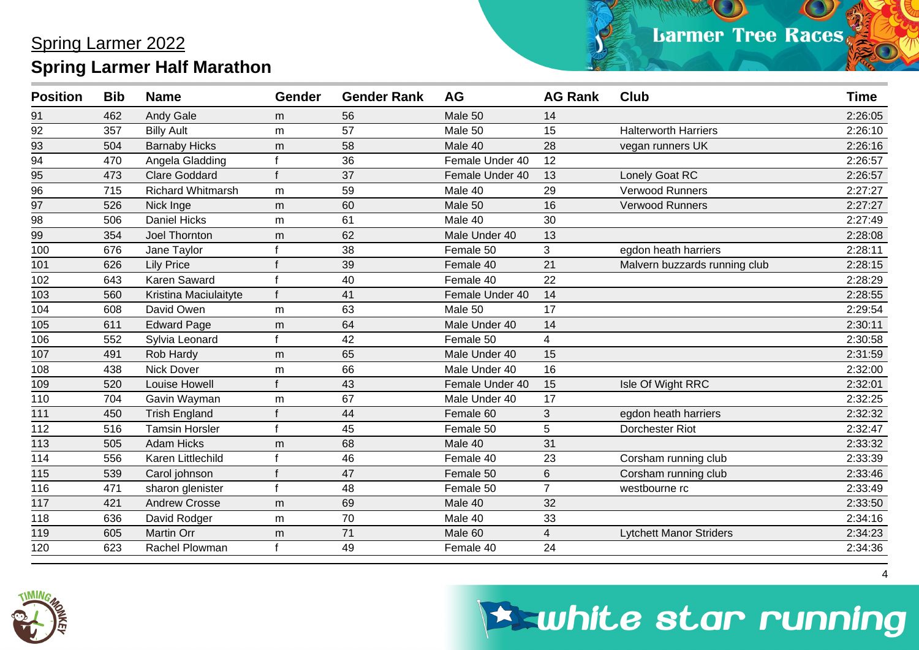| <b>Position</b> | <b>Bib</b> | <b>Name</b>           | <b>Gender</b> | <b>Gender Rank</b> | <b>AG</b>       | <b>AG Rank</b> | <b>Club</b>                    | <b>Time</b> |
|-----------------|------------|-----------------------|---------------|--------------------|-----------------|----------------|--------------------------------|-------------|
| 91              | 462        | <b>Andy Gale</b>      | m             | 56                 | Male 50         | 14             |                                | 2:26:05     |
| 92              | 357        | <b>Billy Ault</b>     | m             | 57                 | Male 50         | 15             | <b>Halterworth Harriers</b>    | 2:26:10     |
| 93              | 504        | <b>Barnaby Hicks</b>  | m             | 58                 | Male 40         | 28             | vegan runners UK               | 2:26:16     |
| $\overline{94}$ | 470        | Angela Gladding       |               | 36                 | Female Under 40 | 12             |                                | 2:26:57     |
| 95              | 473        | <b>Clare Goddard</b>  |               | 37                 | Female Under 40 | 13             | Lonely Goat RC                 | 2:26:57     |
| 96              | 715        | Richard Whitmarsh     | m             | 59                 | Male 40         | 29             | Verwood Runners                | 2:27:27     |
| 97              | 526        | Nick Inge             | m             | 60                 | Male 50         | 16             | <b>Verwood Runners</b>         | 2:27:27     |
| 98              | 506        | <b>Daniel Hicks</b>   | m             | 61                 | Male 40         | 30             |                                | 2:27:49     |
| 99              | 354        | Joel Thornton         | m             | 62                 | Male Under 40   | 13             |                                | 2:28:08     |
| 100             | 676        | Jane Taylor           |               | 38                 | Female 50       | 3              | egdon heath harriers           | 2:28:11     |
| 101             | 626        | <b>Lily Price</b>     |               | 39                 | Female 40       | 21             | Malvern buzzards running club  | 2:28:15     |
| 102             | 643        | Karen Saward          |               | 40                 | Female 40       | 22             |                                | 2:28:29     |
| 103             | 560        | Kristina Maciulaityte |               | 41                 | Female Under 40 | 14             |                                | 2:28:55     |
| 104             | 608        | David Owen            | m             | 63                 | Male 50         | 17             |                                | 2:29:54     |
| 105             | 611        | <b>Edward Page</b>    | m             | 64                 | Male Under 40   | 14             |                                | 2:30:11     |
| 106             | 552        | Sylvia Leonard        |               | 42                 | Female 50       | $\overline{4}$ |                                | 2:30:58     |
| 107             | 491        | Rob Hardy             | m             | 65                 | Male Under 40   | 15             |                                | 2:31:59     |
| 108             | 438        | <b>Nick Dover</b>     | m             | 66                 | Male Under 40   | 16             |                                | 2:32:00     |
| 109             | 520        | Louise Howell         |               | 43                 | Female Under 40 | 15             | Isle Of Wight RRC              | 2:32:01     |
| 110             | 704        | Gavin Wayman          | m             | 67                 | Male Under 40   | 17             |                                | 2:32:25     |
| 111             | 450        | <b>Trish England</b>  |               | 44                 | Female 60       | 3              | egdon heath harriers           | 2:32:32     |
| 112             | 516        | <b>Tamsin Horsler</b> |               | 45                 | Female 50       | 5              | <b>Dorchester Riot</b>         | 2:32:47     |
| 113             | 505        | <b>Adam Hicks</b>     | m             | 68                 | Male 40         | 31             |                                | 2:33:32     |
| 114             | 556        | Karen Littlechild     |               | 46                 | Female 40       | 23             | Corsham running club           | 2:33:39     |
| 115             | 539        | Carol johnson         |               | 47                 | Female 50       | 6              | Corsham running club           | 2:33:46     |
| 116             | 471        | sharon glenister      |               | 48                 | Female 50       | $\overline{7}$ | westbourne rc                  | 2:33:49     |
| 117             | 421        | <b>Andrew Crosse</b>  | m             | 69                 | Male 40         | 32             |                                | 2:33:50     |
| 118             | 636        | David Rodger          | m             | 70                 | Male 40         | 33             |                                | 2:34:16     |
| 119             | 605        | Martin Orr            | m             | 71                 | Male 60         | 4              | <b>Lytchett Manor Striders</b> | 2:34:23     |
| 120             | 623        | Rachel Plowman        |               | 49                 | Female 40       | 24             |                                | 2:34:36     |



### **Eswhite star running**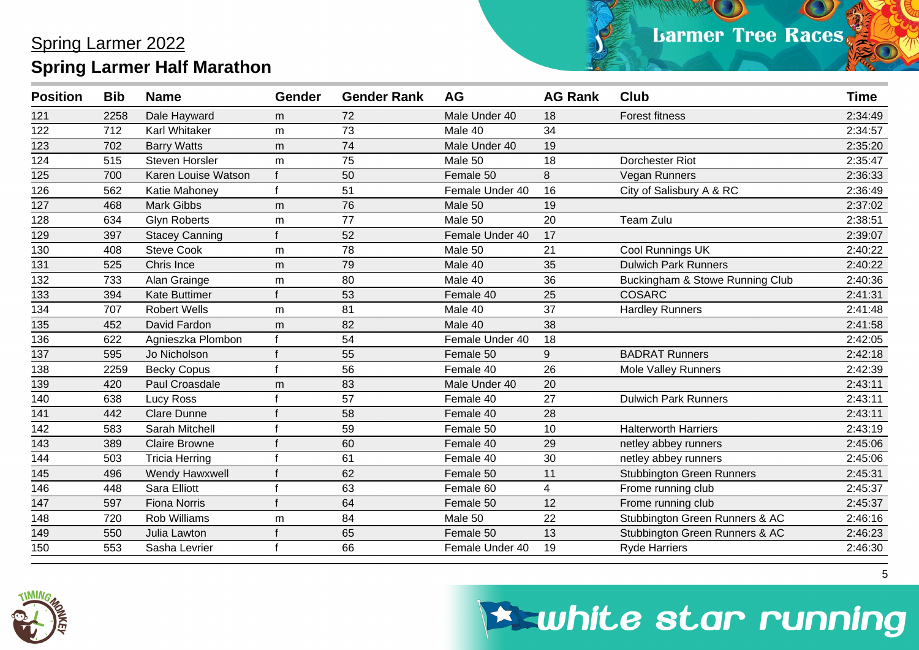| <b>Position</b> | <b>Bib</b> | <b>Name</b>           | <b>Gender</b> | <b>Gender Rank</b> | AG              | <b>AG Rank</b> | <b>Club</b>                      | <b>Time</b> |
|-----------------|------------|-----------------------|---------------|--------------------|-----------------|----------------|----------------------------------|-------------|
| 121             | 2258       | Dale Hayward          | m             | 72                 | Male Under 40   | 18             | <b>Forest fitness</b>            | 2:34:49     |
| 122             | 712        | <b>Karl Whitaker</b>  | m             | 73                 | Male 40         | 34             |                                  | 2:34:57     |
| 123             | 702        | <b>Barry Watts</b>    | m             | 74                 | Male Under 40   | 19             |                                  | 2:35:20     |
| 124             | 515        | <b>Steven Horsler</b> | m             | 75                 | Male 50         | 18             | <b>Dorchester Riot</b>           | 2:35:47     |
| 125             | 700        | Karen Louise Watson   | f             | 50                 | Female 50       | 8              | Vegan Runners                    | 2:36:33     |
| 126             | 562        | Katie Mahoney         | $\mathbf{f}$  | 51                 | Female Under 40 | 16             | City of Salisbury A & RC         | 2:36:49     |
| 127             | 468        | <b>Mark Gibbs</b>     | m             | 76                 | Male 50         | 19             |                                  | 2:37:02     |
| 128             | 634        | <b>Glyn Roberts</b>   | m             | 77                 | Male 50         | 20             | Team Zulu                        | 2:38:51     |
| 129             | 397        | <b>Stacey Canning</b> | f             | 52                 | Female Under 40 | 17             |                                  | 2:39:07     |
| 130             | 408        | <b>Steve Cook</b>     | m             | 78                 | Male 50         | 21             | Cool Runnings UK                 | 2:40:22     |
| 131             | 525        | Chris Ince            | m             | 79                 | Male 40         | 35             | <b>Dulwich Park Runners</b>      | 2:40:22     |
| 132             | 733        | Alan Grainge          | m             | 80                 | Male 40         | 36             | Buckingham & Stowe Running Club  | 2:40:36     |
| 133             | 394        | <b>Kate Buttimer</b>  |               | 53                 | Female 40       | 25             | <b>COSARC</b>                    | 2:41:31     |
| 134             | 707        | <b>Robert Wells</b>   | m             | 81                 | Male 40         | 37             | <b>Hardley Runners</b>           | 2:41:48     |
| 135             | 452        | David Fardon          | m             | 82                 | Male 40         | 38             |                                  | 2:41:58     |
| 136             | 622        | Agnieszka Plombon     | f             | 54                 | Female Under 40 | 18             |                                  | 2:42:05     |
| 137             | 595        | Jo Nicholson          |               | 55                 | Female 50       | 9              | <b>BADRAT Runners</b>            | 2:42:18     |
| 138             | 2259       | <b>Becky Copus</b>    |               | 56                 | Female 40       | 26             | <b>Mole Valley Runners</b>       | 2:42:39     |
| 139             | 420        | Paul Croasdale        | m             | 83                 | Male Under 40   | 20             |                                  | 2:43:11     |
| 140             | 638        | Lucy Ross             |               | 57                 | Female 40       | 27             | <b>Dulwich Park Runners</b>      | 2:43:11     |
| 141             | 442        | <b>Clare Dunne</b>    |               | 58                 | Female 40       | 28             |                                  | 2:43:11     |
| 142             | 583        | Sarah Mitchell        |               | 59                 | Female 50       | 10             | <b>Halterworth Harriers</b>      | 2:43:19     |
| 143             | 389        | <b>Claire Browne</b>  |               | 60                 | Female 40       | 29             | netley abbey runners             | 2:45:06     |
| 144             | 503        | <b>Tricia Herring</b> |               | 61                 | Female 40       | 30             | netley abbey runners             | 2:45:06     |
| 145             | 496        | Wendy Hawxwell        |               | 62                 | Female 50       | 11             | <b>Stubbington Green Runners</b> | 2:45:31     |
| 146             | 448        | Sara Elliott          |               | 63                 | Female 60       | 4              | Frome running club               | 2:45:37     |
| 147             | 597        | <b>Fiona Norris</b>   |               | 64                 | Female 50       | 12             | Frome running club               | 2:45:37     |
| 148             | 720        | <b>Rob Williams</b>   | m             | 84                 | Male 50         | 22             | Stubbington Green Runners & AC   | 2:46:16     |
| 149             | 550        | Julia Lawton          |               | 65                 | Female 50       | 13             | Stubbington Green Runners & AC   | 2:46:23     |
| 150             | 553        | Sasha Levrier         |               | 66                 | Female Under 40 | 19             | <b>Ryde Harriers</b>             | 2:46:30     |



## **Eswhite star running**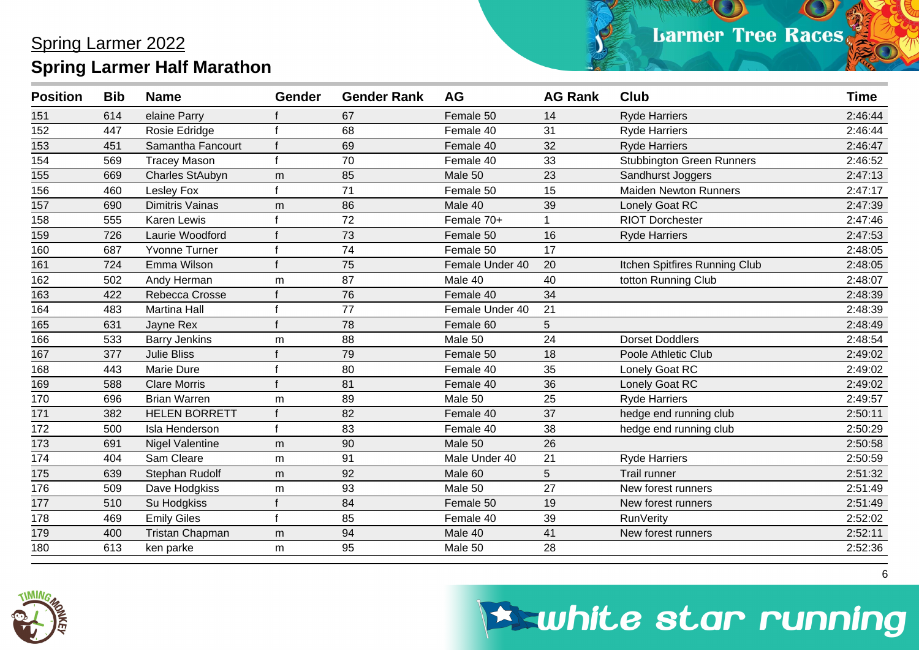| <b>Position</b> | <b>Bib</b> | <b>Name</b>            | <b>Gender</b> | <b>Gender Rank</b> | <b>AG</b>       | <b>AG Rank</b> | <b>Club</b>                      | <b>Time</b> |
|-----------------|------------|------------------------|---------------|--------------------|-----------------|----------------|----------------------------------|-------------|
| 151             | 614        | elaine Parry           |               | 67                 | Female 50       | 14             | <b>Ryde Harriers</b>             | 2:46:44     |
| 152             | 447        | Rosie Edridge          |               | 68                 | Female 40       | 31             | <b>Ryde Harriers</b>             | 2:46:44     |
| 153             | 451        | Samantha Fancourt      |               | 69                 | Female 40       | 32             | <b>Ryde Harriers</b>             | 2:46:47     |
| 154             | 569        | <b>Tracey Mason</b>    |               | 70                 | Female 40       | 33             | <b>Stubbington Green Runners</b> | 2:46:52     |
| 155             | 669        | <b>Charles StAubyn</b> | m             | 85                 | Male 50         | 23             | Sandhurst Joggers                | 2:47:13     |
| 156             | 460        | Lesley Fox             |               | 71                 | Female 50       | 15             | <b>Maiden Newton Runners</b>     | 2:47:17     |
| 157             | 690        | <b>Dimitris Vainas</b> | m             | 86                 | Male 40         | 39             | Lonely Goat RC                   | 2:47:39     |
| 158             | 555        | <b>Karen Lewis</b>     |               | 72                 | Female 70+      |                | <b>RIOT Dorchester</b>           | 2:47:46     |
| 159             | 726        | Laurie Woodford        |               | 73                 | Female 50       | 16             | <b>Ryde Harriers</b>             | 2:47:53     |
| 160             | 687        | <b>Yvonne Turner</b>   |               | 74                 | Female 50       | 17             |                                  | 2:48:05     |
| 161             | 724        | Emma Wilson            |               | 75                 | Female Under 40 | 20             | Itchen Spitfires Running Club    | 2:48:05     |
| 162             | 502        | Andy Herman            | m             | 87                 | Male 40         | 40             | totton Running Club              | 2:48:07     |
| 163             | 422        | Rebecca Crosse         |               | 76                 | Female 40       | 34             |                                  | 2:48:39     |
| 164             | 483        | <b>Martina Hall</b>    |               | 77                 | Female Under 40 | 21             |                                  | 2:48:39     |
| 165             | 631        | Jayne Rex              |               | 78                 | Female 60       | 5              |                                  | 2:48:49     |
| 166             | 533        | <b>Barry Jenkins</b>   | m             | 88                 | Male 50         | 24             | <b>Dorset Doddlers</b>           | 2:48:54     |
| 167             | 377        | <b>Julie Bliss</b>     |               | 79                 | Female 50       | 18             | Poole Athletic Club              | 2:49:02     |
| 168             | 443        | <b>Marie Dure</b>      |               | 80                 | Female 40       | 35             | Lonely Goat RC                   | 2:49:02     |
| 169             | 588        | <b>Clare Morris</b>    |               | 81                 | Female 40       | 36             | Lonely Goat RC                   | 2:49:02     |
| 170             | 696        | <b>Brian Warren</b>    | m             | 89                 | Male 50         | 25             | <b>Ryde Harriers</b>             | 2:49:57     |
| 171             | 382        | <b>HELEN BORRETT</b>   |               | 82                 | Female 40       | 37             | hedge end running club           | 2:50:11     |
| 172             | 500        | Isla Henderson         |               | 83                 | Female 40       | 38             | hedge end running club           | 2:50:29     |
| 173             | 691        | <b>Nigel Valentine</b> | m             | 90                 | Male 50         | 26             |                                  | 2:50:58     |
| 174             | 404        | Sam Cleare             | m             | 91                 | Male Under 40   | 21             | <b>Ryde Harriers</b>             | 2:50:59     |
| 175             | 639        | Stephan Rudolf         | m             | 92                 | Male 60         | 5              | Trail runner                     | 2:51:32     |
| 176             | 509        | Dave Hodgkiss          | m             | 93                 | Male 50         | 27             | New forest runners               | 2:51:49     |
| 177             | 510        | Su Hodgkiss            |               | 84                 | Female 50       | 19             | New forest runners               | 2:51:49     |
| 178             | 469        | <b>Emily Giles</b>     |               | 85                 | Female 40       | 39             | <b>RunVerity</b>                 | 2:52:02     |
| 179             | 400        | <b>Tristan Chapman</b> | m             | 94                 | Male 40         | 41             | New forest runners               | 2:52:11     |
| 180             | 613        | ken parke              | m             | 95                 | Male 50         | 28             |                                  | 2:52:36     |



## **Eswhite star running**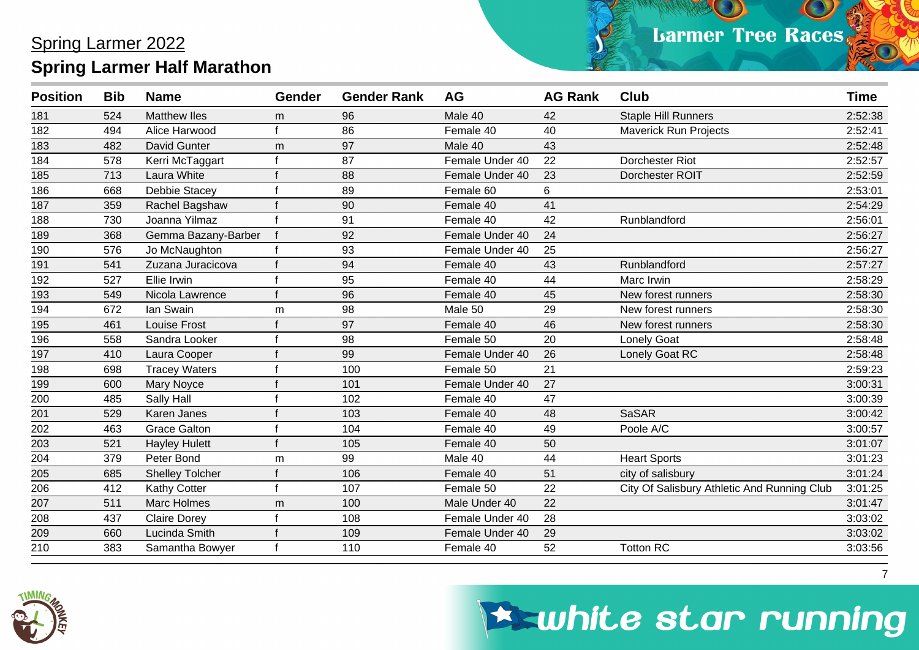| <b>Position</b> | <b>Bib</b> | <b>Name</b>            | <b>Gender</b> | <b>Gender Rank</b> | <b>AG</b>       | <b>AG Rank</b> | <b>Club</b>                                 | <b>Time</b> |
|-----------------|------------|------------------------|---------------|--------------------|-----------------|----------------|---------------------------------------------|-------------|
| 181             | 524        | <b>Matthew Iles</b>    | m             | 96                 | Male 40         | 42             | <b>Staple Hill Runners</b>                  | 2:52:38     |
| 182             | 494        | Alice Harwood          |               | 86                 | Female 40       | 40             | <b>Maverick Run Projects</b>                | 2:52:41     |
| 183             | 482        | David Gunter           | m             | 97                 | Male 40         | 43             |                                             | 2:52:48     |
| 184             | 578        | Kerri McTaggart        |               | 87                 | Female Under 40 | 22             | Dorchester Riot                             | 2:52:57     |
| 185             | 713        | Laura White            |               | 88                 | Female Under 40 | 23             | Dorchester ROIT                             | 2:52:59     |
| 186             | 668        | Debbie Stacey          |               | 89                 | Female 60       | 6              |                                             | 2:53:01     |
| 187             | 359        | Rachel Bagshaw         |               | 90                 | Female 40       | 41             |                                             | 2:54:29     |
| 188             | 730        | Joanna Yilmaz          |               | 91                 | Female 40       | 42             | Runblandford                                | 2:56:01     |
| 189             | 368        | Gemma Bazany-Barber    |               | 92                 | Female Under 40 | 24             |                                             | 2:56:27     |
| 190             | 576        | Jo McNaughton          |               | 93                 | Female Under 40 | 25             |                                             | 2:56:27     |
| 191             | 541        | Zuzana Juracicova      |               | 94                 | Female 40       | 43             | Runblandford                                | 2:57:27     |
| 192             | 527        | Ellie Irwin            |               | 95                 | Female 40       | 44             | Marc Irwin                                  | 2:58:29     |
| 193             | 549        | Nicola Lawrence        |               | 96                 | Female 40       | 45             | New forest runners                          | 2:58:30     |
| 194             | 672        | lan Swain              | m             | 98                 | Male 50         | 29             | New forest runners                          | 2:58:30     |
| 195             | 461        | <b>Louise Frost</b>    |               | 97                 | Female 40       | 46             | New forest runners                          | 2:58:30     |
| 196             | 558        | Sandra Looker          |               | 98                 | Female 50       | 20             | <b>Lonely Goat</b>                          | 2:58:48     |
| 197             | 410        | Laura Cooper           |               | 99                 | Female Under 40 | 26             | Lonely Goat RC                              | 2:58:48     |
| 198             | 698        | <b>Tracey Waters</b>   |               | 100                | Female 50       | 21             |                                             | 2:59:23     |
| 199             | 600        | Mary Noyce             |               | 101                | Female Under 40 | 27             |                                             | 3:00:31     |
| 200             | 485        | Sally Hall             |               | 102                | Female 40       | 47             |                                             | 3:00:39     |
| 201             | 529        | Karen Janes            |               | 103                | Female 40       | 48             | <b>SaSAR</b>                                | 3:00:42     |
| 202             | 463        | <b>Grace Galton</b>    |               | 104                | Female 40       | 49             | Poole A/C                                   | 3:00:57     |
| 203             | 521        | <b>Hayley Hulett</b>   |               | 105                | Female 40       | 50             |                                             | 3:01:07     |
| 204             | 379        | Peter Bond             | m             | 99                 | Male 40         | 44             | <b>Heart Sports</b>                         | 3:01:23     |
| 205             | 685        | <b>Shelley Tolcher</b> |               | 106                | Female 40       | 51             | city of salisbury                           | 3:01:24     |
| 206             | 412        | Kathy Cotter           |               | 107                | Female 50       | 22             | City Of Salisbury Athletic And Running Club | 3:01:25     |
| 207             | 511        | Marc Holmes            | m             | 100                | Male Under 40   | 22             |                                             | 3:01:47     |
| 208             | 437        | <b>Claire Dorey</b>    |               | 108                | Female Under 40 | 28             |                                             | 3:03:02     |
| 209             | 660        | Lucinda Smith          |               | 109                | Female Under 40 | 29             |                                             | 3:03:02     |
| 210             | 383        | Samantha Bowyer        |               | 110                | Female 40       | 52             | <b>Totton RC</b>                            | 3:03:56     |



### **Eswhite star running**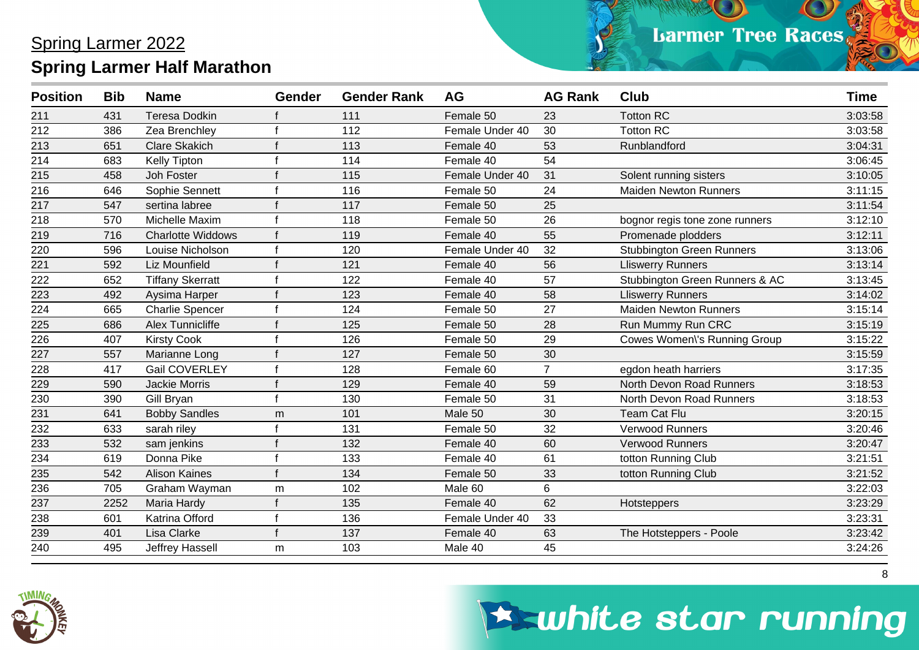| <b>Teresa Dodkin</b><br>Female 50<br>431<br>111<br>23<br>211<br>212<br>112<br>386<br>Zea Brenchley<br>30<br>Female Under 40<br>213<br><b>Clare Skakich</b><br>113<br>Female 40<br>651<br>53 | <b>Totton RC</b><br>3:03:58<br><b>Totton RC</b><br>3:03:58<br>Runblandford<br>3:04:31<br>3:06:45<br>3:10:05<br>Solent running sisters |
|---------------------------------------------------------------------------------------------------------------------------------------------------------------------------------------------|---------------------------------------------------------------------------------------------------------------------------------------|
|                                                                                                                                                                                             |                                                                                                                                       |
|                                                                                                                                                                                             |                                                                                                                                       |
|                                                                                                                                                                                             |                                                                                                                                       |
| 214<br>54<br>683<br><b>Kelly Tipton</b><br>114<br>Female 40                                                                                                                                 |                                                                                                                                       |
| 215<br>31<br>458<br>Joh Foster<br>115<br>Female Under 40                                                                                                                                    |                                                                                                                                       |
| 216<br>24<br>646<br>Sophie Sennett<br>116<br>Female 50                                                                                                                                      | 3:11:15<br><b>Maiden Newton Runners</b>                                                                                               |
| 25<br>217<br>547<br>117<br>sertina labree<br>Female 50                                                                                                                                      | 3:11:54                                                                                                                               |
| 218<br>Michelle Maxim<br>118<br>26<br>570<br>Female 50                                                                                                                                      | 3:12:10<br>bognor regis tone zone runners                                                                                             |
| 219<br><b>Charlotte Widdows</b><br>119<br>Female 40<br>55<br>716                                                                                                                            | 3:12:11<br>Promenade plodders                                                                                                         |
| 220<br>120<br>32<br>596<br>Louise Nicholson<br>Female Under 40                                                                                                                              | <b>Stubbington Green Runners</b><br>3:13:06                                                                                           |
| 221<br>56<br>592<br>Liz Mounfield<br>121<br>Female 40                                                                                                                                       | 3:13:14<br><b>Lliswerry Runners</b>                                                                                                   |
| 222<br>57<br>652<br><b>Tiffany Skerratt</b><br>122<br>Female 40                                                                                                                             | 3:13:45<br>Stubbington Green Runners & AC                                                                                             |
| 223<br>492<br>123<br>58<br>Aysima Harper<br>Female 40                                                                                                                                       | 3:14:02<br><b>Lliswerry Runners</b>                                                                                                   |
| 224<br>27<br>665<br><b>Charlie Spencer</b><br>124<br>Female 50                                                                                                                              | <b>Maiden Newton Runners</b><br>3:15:14                                                                                               |
| 225<br>686<br><b>Alex Tunnicliffe</b><br>125<br>Female 50<br>28                                                                                                                             | 3:15:19<br>Run Mummy Run CRC                                                                                                          |
| 226<br>29<br>407<br><b>Kirsty Cook</b><br>126<br>Female 50                                                                                                                                  | 3:15:22<br>Cowes Women\'s Running Group                                                                                               |
| 227<br>557<br>Marianne Long<br>127<br>Female 50<br>30                                                                                                                                       | 3:15:59                                                                                                                               |
| <b>Gail COVERLEY</b><br>$\overline{7}$<br>228<br>417<br>128<br>Female 60                                                                                                                    | 3:17:35<br>egdon heath harriers                                                                                                       |
| 590<br><b>Jackie Morris</b><br>129<br>Female 40<br>59<br>229                                                                                                                                | North Devon Road Runners<br>3:18:53                                                                                                   |
| 230<br>130<br>Female 50<br>31<br>390<br>Gill Bryan                                                                                                                                          | North Devon Road Runners<br>3:18:53                                                                                                   |
| 231<br>641<br>101<br>Male 50<br>30<br><b>Bobby Sandles</b><br>m                                                                                                                             | 3:20:15<br><b>Team Cat Flu</b>                                                                                                        |
| 232<br>633<br>131<br>32<br>sarah riley<br>Female 50                                                                                                                                         | Verwood Runners<br>3:20:46                                                                                                            |
| 233<br>532<br>132<br>Female 40<br>60<br>sam jenkins                                                                                                                                         | Verwood Runners<br>3:20:47                                                                                                            |
| 234<br>61<br>Donna Pike<br>133<br>619<br>Female 40                                                                                                                                          | 3:21:51<br>totton Running Club                                                                                                        |
| 235<br>542<br><b>Alison Kaines</b><br>134<br>Female 50<br>33                                                                                                                                | totton Running Club<br>3:21:52                                                                                                        |
| 236<br>705<br>Graham Wayman<br>102<br>Male 60<br>6<br>m                                                                                                                                     | 3:22:03                                                                                                                               |
| 237<br>Female 40<br>62<br>2252<br>Maria Hardy<br>135                                                                                                                                        | 3:23:29<br>Hotsteppers                                                                                                                |
| 238<br>601<br>Katrina Offord<br>136<br>Female Under 40<br>33                                                                                                                                | 3:23:31                                                                                                                               |
| 239<br>Lisa Clarke<br>401<br>137<br>Female 40<br>63                                                                                                                                         | 3:23:42<br>The Hotsteppers - Poole                                                                                                    |
| $\overline{240}$<br>45<br>495<br>Jeffrey Hassell<br>103<br>Male 40<br>m                                                                                                                     | 3:24:26                                                                                                                               |



## **Eswhite star running**